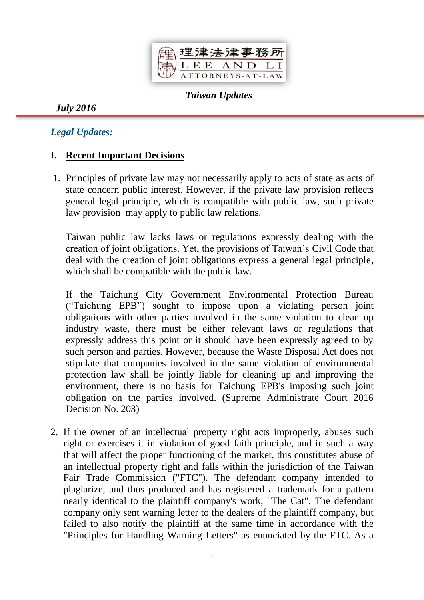

*Taiwan Updates*

*July 2016*

# *Legal Updates:*

## **I. Recent Important Decisions**

1. Principles of private law may not necessarily apply to acts of state as acts of state concern public interest. However, if the private law provision reflects general legal principle, which is compatible with public law, such private law provision may apply to public law relations.

Taiwan public law lacks laws or regulations expressly dealing with the creation of joint obligations. Yet, the provisions of Taiwan's Civil Code that deal with the creation of joint obligations express a general legal principle, which shall be compatible with the public law.

If the Taichung City Government Environmental Protection Bureau ("Taichung EPB") sought to impose upon a violating person joint obligations with other parties involved in the same violation to clean up industry waste, there must be either relevant laws or regulations that expressly address this point or it should have been expressly agreed to by such person and parties. However, because the Waste Disposal Act does not stipulate that companies involved in the same violation of environmental protection law shall be jointly liable for cleaning up and improving the environment, there is no basis for Taichung EPB's imposing such joint obligation on the parties involved. (Supreme Administrate Court 2016 Decision No. 203)

2. If the owner of an intellectual property right acts improperly, abuses such right or exercises it in violation of good faith principle, and in such a way that will affect the proper functioning of the market, this constitutes abuse of an intellectual property right and falls within the jurisdiction of the Taiwan Fair Trade Commission ("FTC"). The defendant company intended to plagiarize, and thus produced and has registered a trademark for a pattern nearly identical to the plaintiff company's work, "The Cat". The defendant company only sent warning letter to the dealers of the plaintiff company, but failed to also notify the plaintiff at the same time in accordance with the "Principles for Handling Warning Letters" as enunciated by the FTC. As a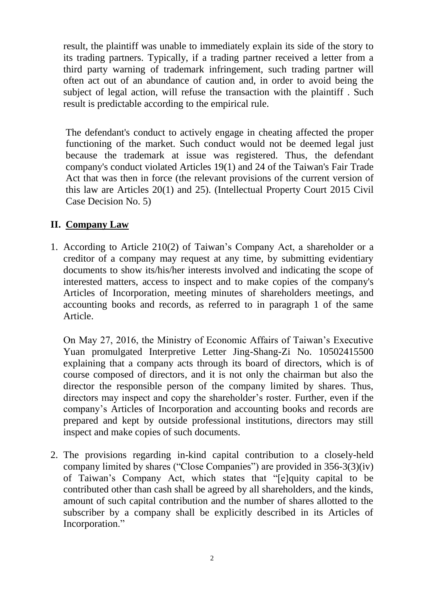result, the plaintiff was unable to immediately explain its side of the story to its trading partners. Typically, if a trading partner received a letter from a third party warning of trademark infringement, such trading partner will often act out of an abundance of caution and, in order to avoid being the subject of legal action, will refuse the transaction with the plaintiff . Such result is predictable according to the empirical rule.

The defendant's conduct to actively engage in cheating affected the proper functioning of the market. Such conduct would not be deemed legal just because the trademark at issue was registered. Thus, the defendant company's conduct violated Articles 19(1) and 24 of the Taiwan's Fair Trade Act that was then in force (the relevant provisions of the current version of this law are Articles 20(1) and 25). (Intellectual Property Court 2015 Civil Case Decision No. 5)

# **II. Company Law**

1. According to Article 210(2) of Taiwan's Company Act, a shareholder or a creditor of a company may request at any time, by submitting evidentiary documents to show its/his/her interests involved and indicating the scope of interested matters, access to inspect and to make copies of the company's Articles of Incorporation, meeting minutes of shareholders meetings, and accounting books and records, as referred to in paragraph 1 of the same Article.

On May 27, 2016, the Ministry of Economic Affairs of Taiwan's Executive Yuan promulgated Interpretive Letter Jing-Shang-Zi No. 10502415500 explaining that a company acts through its board of directors, which is of course composed of directors, and it is not only the chairman but also the director the responsible person of the company limited by shares. Thus, directors may inspect and copy the shareholder's roster. Further, even if the company's Articles of Incorporation and accounting books and records are prepared and kept by outside professional institutions, directors may still inspect and make copies of such documents.

2. The provisions regarding in-kind capital contribution to a closely-held company limited by shares ("Close Companies") are provided in 356-3(3)(iv) of Taiwan's Company Act, which states that "[e]quity capital to be contributed other than cash shall be agreed by all shareholders, and the kinds, amount of such capital contribution and the number of shares allotted to the subscriber by a company shall be explicitly described in its Articles of Incorporation."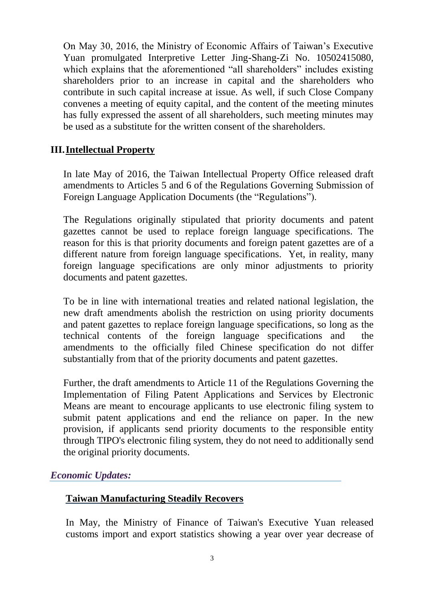On May 30, 2016, the Ministry of Economic Affairs of Taiwan's Executive Yuan promulgated Interpretive Letter Jing-Shang-Zi No. 10502415080, which explains that the aforementioned "all shareholders" includes existing shareholders prior to an increase in capital and the shareholders who contribute in such capital increase at issue. As well, if such Close Company convenes a meeting of equity capital, and the content of the meeting minutes has fully expressed the assent of all shareholders, such meeting minutes may be used as a substitute for the written consent of the shareholders.

### **III.Intellectual Property**

In late May of 2016, the Taiwan Intellectual Property Office released draft amendments to Articles 5 and 6 of the Regulations Governing Submission of Foreign Language Application Documents (the "Regulations").

The Regulations originally stipulated that priority documents and patent gazettes cannot be used to replace foreign language specifications. The reason for this is that priority documents and foreign patent gazettes are of a different nature from foreign language specifications. Yet, in reality, many foreign language specifications are only minor adjustments to priority documents and patent gazettes.

To be in line with international treaties and related national legislation, the new draft amendments abolish the restriction on using priority documents and patent gazettes to replace foreign language specifications, so long as the technical contents of the foreign language specifications and the amendments to the officially filed Chinese specification do not differ substantially from that of the priority documents and patent gazettes.

Further, the draft amendments to Article 11 of the Regulations Governing the Implementation of Filing Patent Applications and Services by Electronic Means are meant to encourage applicants to use electronic filing system to submit patent applications and end the reliance on paper. In the new provision, if applicants send priority documents to the responsible entity through TIPO's electronic filing system, they do not need to additionally send the original priority documents.

#### *Economic Updates:*

#### **Taiwan Manufacturing Steadily Recovers**

In May, the Ministry of Finance of Taiwan's Executive Yuan released customs import and export statistics showing a year over year decrease of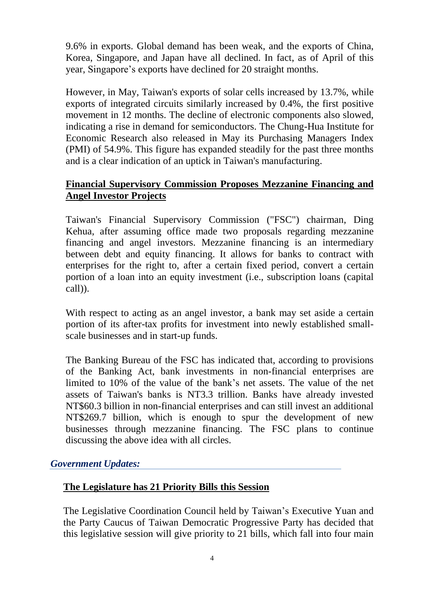9.6% in exports. Global demand has been weak, and the exports of China, Korea, Singapore, and Japan have all declined. In fact, as of April of this year, Singapore's exports have declined for 20 straight months.

However, in May, Taiwan's exports of solar cells increased by 13.7%, while exports of integrated circuits similarly increased by 0.4%, the first positive movement in 12 months. The decline of electronic components also slowed, indicating a rise in demand for semiconductors. The Chung-Hua Institute for Economic Research also released in May its Purchasing Managers Index (PMI) of 54.9%. This figure has expanded steadily for the past three months and is a clear indication of an uptick in Taiwan's manufacturing.

#### **Financial Supervisory Commission Proposes Mezzanine Financing and Angel Investor Projects**

Taiwan's Financial Supervisory Commission ("FSC") chairman, Ding Kehua, after assuming office made two proposals regarding mezzanine financing and angel investors. Mezzanine financing is an intermediary between debt and equity financing. It allows for banks to contract with enterprises for the right to, after a certain fixed period, convert a certain portion of a loan into an equity investment (i.e., subscription loans (capital call)).

With respect to acting as an angel investor, a bank may set aside a certain portion of its after-tax profits for investment into newly established smallscale businesses and in start-up funds.

The Banking Bureau of the FSC has indicated that, according to provisions of the Banking Act, bank investments in non-financial enterprises are limited to 10% of the value of the bank's net assets. The value of the net assets of Taiwan's banks is NT3.3 trillion. Banks have already invested NT\$60.3 billion in non-financial enterprises and can still invest an additional NT\$269.7 billion, which is enough to spur the development of new businesses through mezzanine financing. The FSC plans to continue discussing the above idea with all circles.

#### *Government Updates:*

## **The Legislature has 21 Priority Bills this Session**

The Legislative Coordination Council held by Taiwan's Executive Yuan and the Party Caucus of Taiwan Democratic Progressive Party has decided that this legislative session will give priority to 21 bills, which fall into four main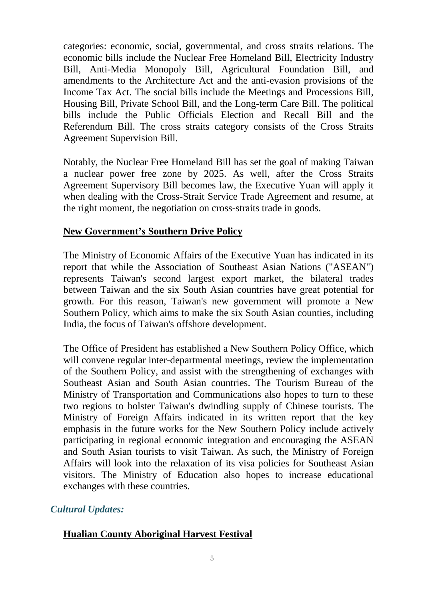categories: economic, social, governmental, and cross straits relations. The economic bills include the Nuclear Free Homeland Bill, Electricity Industry Bill, Anti-Media Monopoly Bill, Agricultural Foundation Bill, and amendments to the Architecture Act and the anti-evasion provisions of the Income Tax Act. The social bills include the Meetings and Processions Bill, Housing Bill, Private School Bill, and the Long-term Care Bill. The political bills include the Public Officials Election and Recall Bill and the Referendum Bill. The cross straits category consists of the Cross Straits Agreement Supervision Bill.

Notably, the Nuclear Free Homeland Bill has set the goal of making Taiwan a nuclear power free zone by 2025. As well, after the Cross Straits Agreement Supervisory Bill becomes law, the Executive Yuan will apply it when dealing with the Cross-Strait Service Trade Agreement and resume, at the right moment, the negotiation on cross-straits trade in goods.

#### **New Government's Southern Drive Policy**

The Ministry of Economic Affairs of the Executive Yuan has indicated in its report that while the Association of Southeast Asian Nations ("ASEAN") represents Taiwan's second largest export market, the bilateral trades between Taiwan and the six South Asian countries have great potential for growth. For this reason, Taiwan's new government will promote a New Southern Policy, which aims to make the six South Asian counties, including India, the focus of Taiwan's offshore development.

The Office of President has established a New Southern Policy Office, which will convene regular inter-departmental meetings, review the implementation of the Southern Policy, and assist with the strengthening of exchanges with Southeast Asian and South Asian countries. The Tourism Bureau of the Ministry of Transportation and Communications also hopes to turn to these two regions to bolster Taiwan's dwindling supply of Chinese tourists. The Ministry of Foreign Affairs indicated in its written report that the key emphasis in the future works for the New Southern Policy include actively participating in regional economic integration and encouraging the ASEAN and South Asian tourists to visit Taiwan. As such, the Ministry of Foreign Affairs will look into the relaxation of its visa policies for Southeast Asian visitors. The Ministry of Education also hopes to increase educational exchanges with these countries.

## *Cultural Updates:*

#### **Hualian County Aboriginal Harvest Festival**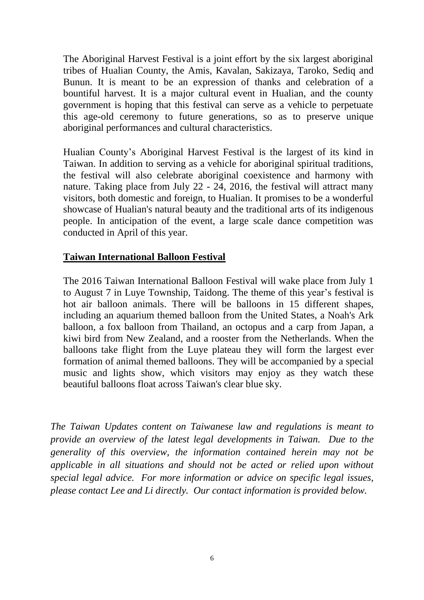The Aboriginal Harvest Festival is a joint effort by the six largest aboriginal tribes of Hualian County, the Amis, Kavalan, Sakizaya, Taroko, Sediq and Bunun. It is meant to be an expression of thanks and celebration of a bountiful harvest. It is a major cultural event in Hualian, and the county government is hoping that this festival can serve as a vehicle to perpetuate this age-old ceremony to future generations, so as to preserve unique aboriginal performances and cultural characteristics.

Hualian County's Aboriginal Harvest Festival is the largest of its kind in Taiwan. In addition to serving as a vehicle for aboriginal spiritual traditions, the festival will also celebrate aboriginal coexistence and harmony with nature. Taking place from July 22 - 24, 2016, the festival will attract many visitors, both domestic and foreign, to Hualian. It promises to be a wonderful showcase of Hualian's natural beauty and the traditional arts of its indigenous people. In anticipation of the event, a large scale dance competition was conducted in April of this year.

#### **Taiwan International Balloon Festival**

The 2016 Taiwan International Balloon Festival will wake place from July 1 to August 7 in Luye Township, Taidong. The theme of this year's festival is hot air balloon animals. There will be balloons in 15 different shapes, including an aquarium themed balloon from the United States, a Noah's Ark balloon, a fox balloon from Thailand, an octopus and a carp from Japan, a kiwi bird from New Zealand, and a rooster from the Netherlands. When the balloons take flight from the Luye plateau they will form the largest ever formation of animal themed balloons. They will be accompanied by a special music and lights show, which visitors may enjoy as they watch these beautiful balloons float across Taiwan's clear blue sky.

*The Taiwan Updates content on Taiwanese law and regulations is meant to provide an overview of the latest legal developments in Taiwan. Due to the generality of this overview, the information contained herein may not be applicable in all situations and should not be acted or relied upon without special legal advice. For more information or advice on specific legal issues, please contact Lee and Li directly. Our contact information is provided below.*